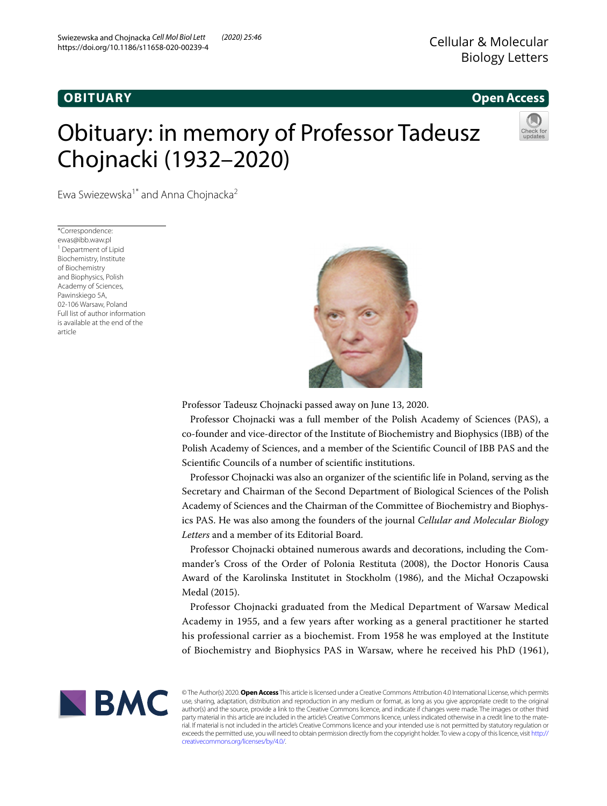## **OBITUARY**

## **Open Access**

# Obituary: in memory of Professor Tadeusz Chojnacki (1932–2020)



Ewa Swiezewska<sup>1\*</sup> and Anna Chojnacka<sup>2</sup>

\*Correspondence: ewas@ibb.waw.pl <sup>1</sup> Department of Lipid Biochemistry, Institute of Biochemistry and Biophysics, Polish Academy of Sciences, Pawinskiego 5A, 02‑106 Warsaw, Poland Full list of author information is available at the end of the article



Professor Tadeusz Chojnacki passed away on June 13, 2020.

Professor Chojnacki was a full member of the Polish Academy of Sciences (PAS), a co-founder and vice-director of the Institute of Biochemistry and Biophysics (IBB) of the Polish Academy of Sciences, and a member of the Scientifc Council of IBB PAS and the Scientifc Councils of a number of scientifc institutions.

Professor Chojnacki was also an organizer of the scientifc life in Poland, serving as the Secretary and Chairman of the Second Department of Biological Sciences of the Polish Academy of Sciences and the Chairman of the Committee of Biochemistry and Biophysics PAS. He was also among the founders of the journal *Cellular and Molecular Biology Letters* and a member of its Editorial Board.

Professor Chojnacki obtained numerous awards and decorations, including the Commander's Cross of the Order of Polonia Restituta (2008), the Doctor Honoris Causa Award of the Karolinska Institutet in Stockholm (1986), and the Michał Oczapowski Medal (2015).

Professor Chojnacki graduated from the Medical Department of Warsaw Medical Academy in 1955, and a few years after working as a general practitioner he started his professional carrier as a biochemist. From 1958 he was employed at the Institute of Biochemistry and Biophysics PAS in Warsaw, where he received his PhD (1961),



© The Author(s) 2020. **Open Access** This article is licensed under a Creative Commons Attribution 4.0 International License, which permits use, sharing, adaptation, distribution and reproduction in any medium or format, as long as you give appropriate credit to the original author(s) and the source, provide a link to the Creative Commons licence, and indicate if changes were made. The images or other third party material in this article are included in the article's Creative Commons licence, unless indicated otherwise in a credit line to the material. If material is not included in the article's Creative Commons licence and your intended use is not permitted by statutory regulation or exceeds the permitted use, you will need to obtain permission directly from the copyright holder. To view a copy of this licence, visit [http://](http://creativecommons.org/licenses/by/4.0/) [creativecommons.org/licenses/by/4.0/.](http://creativecommons.org/licenses/by/4.0/)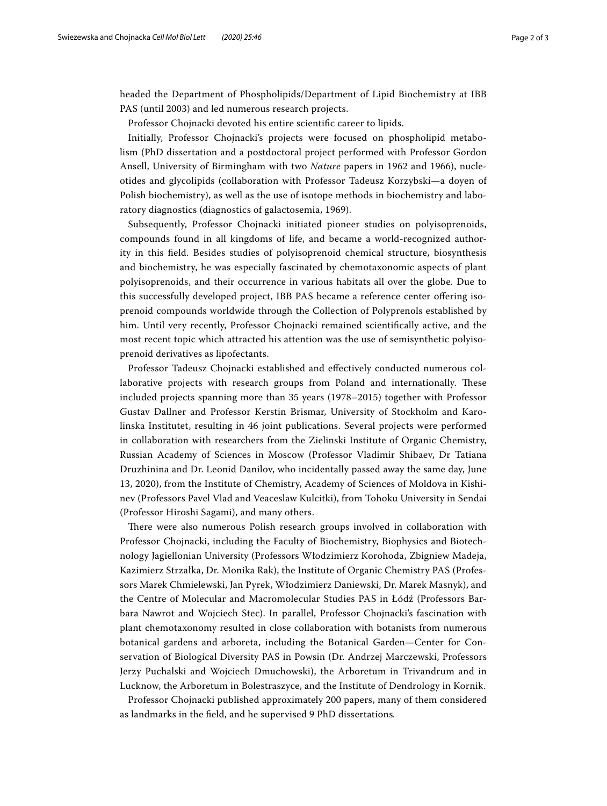headed the Department of Phospholipids/Department of Lipid Biochemistry at IBB PAS (until 2003) and led numerous research projects.

Professor Chojnacki devoted his entire scientifc career to lipids.

Initially, Professor Chojnacki's projects were focused on phospholipid metabolism (PhD dissertation and a postdoctoral project performed with Professor Gordon Ansell, University of Birmingham with two *Nature* papers in 1962 and 1966), nucleotides and glycolipids (collaboration with Professor Tadeusz Korzybski—a doyen of Polish biochemistry), as well as the use of isotope methods in biochemistry and laboratory diagnostics (diagnostics of galactosemia, 1969).

Subsequently, Professor Chojnacki initiated pioneer studies on polyisoprenoids, compounds found in all kingdoms of life, and became a world-recognized authority in this feld. Besides studies of polyisoprenoid chemical structure, biosynthesis and biochemistry, he was especially fascinated by chemotaxonomic aspects of plant polyisoprenoids, and their occurrence in various habitats all over the globe. Due to this successfully developed project, IBB PAS became a reference center ofering isoprenoid compounds worldwide through the Collection of Polyprenols established by him. Until very recently, Professor Chojnacki remained scientifcally active, and the most recent topic which attracted his attention was the use of semisynthetic polyisoprenoid derivatives as lipofectants.

Professor Tadeusz Chojnacki established and effectively conducted numerous collaborative projects with research groups from Poland and internationally. These included projects spanning more than 35 years (1978–2015) together with Professor Gustav Dallner and Professor Kerstin Brismar, University of Stockholm and Karolinska Institutet, resulting in 46 joint publications. Several projects were performed in collaboration with researchers from the Zielinski Institute of Organic Chemistry, Russian Academy of Sciences in Moscow (Professor Vladimir Shibaev, Dr Tatiana Druzhinina and Dr. Leonid Danilov, who incidentally passed away the same day, June 13, 2020), from the Institute of Chemistry, Academy of Sciences of Moldova in Kishinev (Professors Pavel Vlad and Veaceslaw Kulcitki), from Tohoku University in Sendai (Professor Hiroshi Sagami), and many others.

There were also numerous Polish research groups involved in collaboration with Professor Chojnacki, including the Faculty of Biochemistry, Biophysics and Biotechnology Jagiellonian University (Professors Włodzimierz Korohoda, Zbigniew Madeja, Kazimierz Strzałka, Dr. Monika Rak), the Institute of Organic Chemistry PAS (Professors Marek Chmielewski, Jan Pyrek, Włodzimierz Daniewski, Dr. Marek Masnyk), and the Centre of Molecular and Macromolecular Studies PAS in Łódź (Professors Barbara Nawrot and Wojciech Stec). In parallel, Professor Chojnacki's fascination with plant chemotaxonomy resulted in close collaboration with botanists from numerous botanical gardens and arboreta, including the Botanical Garden—Center for Conservation of Biological Diversity PAS in Powsin (Dr. Andrzej Marczewski, Professors Jerzy Puchalski and Wojciech Dmuchowski), the Arboretum in Trivandrum and in Lucknow, the Arboretum in Bolestraszyce, and the Institute of Dendrology in Kornik.

Professor Chojnacki published approximately 200 papers, many of them considered as landmarks in the feld, and he supervised 9 PhD dissertations*.*